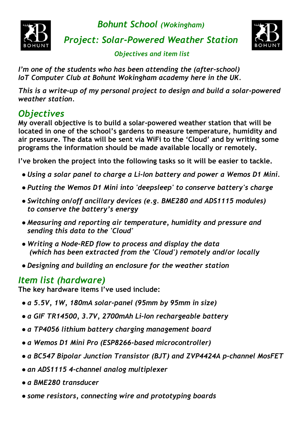

*Bohunt School (Wokingham)*

*Project: Solar-Powered Weather Station*



 *Objectives and item list*

*I'm one of the students who has been attending the (after-school) IoT Computer Club at Bohunt Wokingham academy here in the UK.*

*This is a write-up of my personal project to design and build a solar-powered weather station.*

## *Objectives*

**My overall objective is to build a solar-powered weather station that will be located in one of the school's gardens to measure temperature, humidity and air pressure. The data will be sent via WiFi to the 'Cloud' and by writing some programs the information should be made available locally or remotely.**

**I've broken the project into the following tasks so it will be easier to tackle.**

- *● Using a solar panel to charge a Li-Ion battery and power a Wemos D1 Mini.*
- *● Putting the Wemos D1 Mini into 'deepsleep' to conserve battery's charge*
- *● Switching on/off ancillary devices (e.g. BME280 and ADS1115 modules) to conserve the battery's energy*
- *● Measuring and reporting air temperature, humidity and pressure and sending this data to the 'Cloud'*
- *● Writing a Node-RED flow to process and display the data (which has been extracted from the 'Cloud') remotely and/or locally*
- *● Designing and building an enclosure for the weather station*

### *Item list (hardware)*

**The key hardware items I've used include:**

- *● a 5.5V, 1W, 180mA solar-panel (95mm by 95mm in size)*
- *● a GIF TR14500, 3.7V, 2700mAh Li-Ion rechargeable battery*
- *● a TP4056 lithium battery charging management board*
- *● a Wemos D1 Mini Pro (ESP8266-based microcontroller)*
- *● a BC547 Bipolar Junction Transistor (BJT) and ZVP4424A p-channel MosFET*
- *● an ADS1115 4-channel analog multiplexer*
- *● a BME280 transducer*
- *● some resistors, connecting wire and prototyping boards*